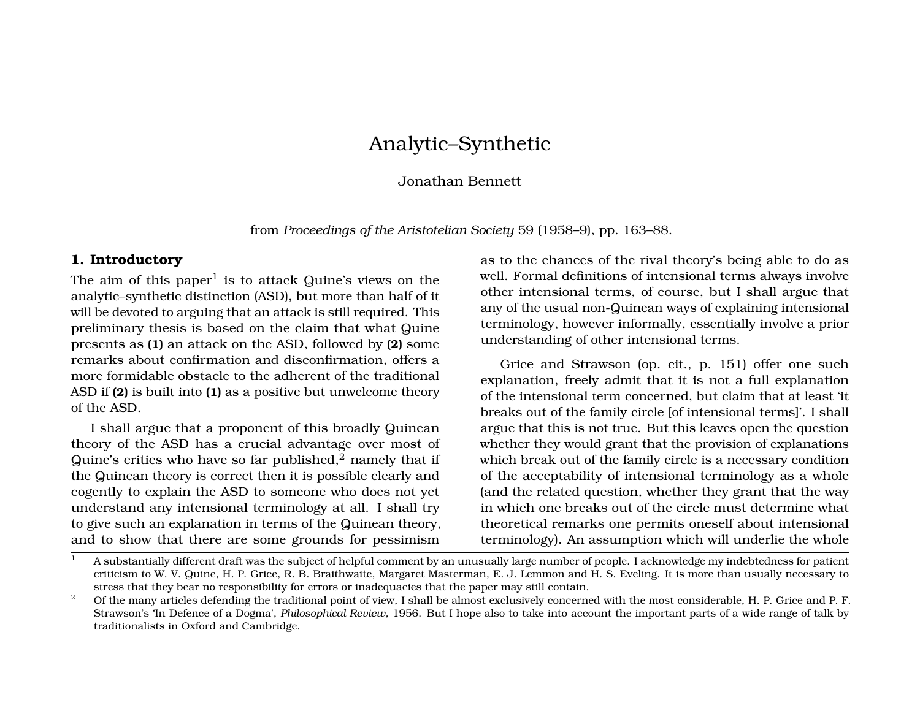# Analytic–Synthetic

#### Jonathan Bennett

from *Proceedings of the Aristotelian Society* 59 (1958–9), pp. 163–88.

### **1. Introductory**

The aim of this paper $^{\rm l}$  is to attack Quine's views on the analytic–synthetic distinction (ASD), but more than half of it will be devoted to arguing that an attack is still required. This preliminary thesis is based on the claim that what Quine presents as **(1)** an attack on the ASD, followed by **(2)** some remarks about confirmation and disconfirmation, offers a more formidable obstacle to the adherent of the traditional ASD if **(2)** is built into **(1)** as a positive but unwelcome theory of the ASD.

I shall argue that a proponent of this broadly Quinean theory of the ASD has a crucial advantage over most of Quine's critics who have so far published, $^2$  namely that if the Quinean theory is correct then it is possible clearly and cogently to explain the ASD to someone who does not yet understand any intensional terminology at all. I shall try to give such an explanation in terms of the Quinean theory, and to show that there are some grounds for pessimism

as to the chances of the rival theory's being able to do as well. Formal definitions of intensional terms always involve other intensional terms, of course, but I shall argue that any of the usual non-Quinean ways of explaining intensional terminology, however informally, essentially involve a prior understanding of other intensional terms.

Grice and Strawson (op. cit., p. 151) offer one such explanation, freely admit that it is not a full explanation of the intensional term concerned, but claim that at least 'it breaks out of the family circle [of intensional terms]'. I shall argue that this is not true. But this leaves open the question whether they would grant that the provision of explanations which break out of the family circle is a necessary condition of the acceptability of intensional terminology as a whole (and the related question, whether they grant that the way in which one breaks out of the circle must determine what theoretical remarks one permits oneself about intensional terminology). An assumption which will underlie the whole

<sup>1</sup> A substantially different draft was the subject of helpful comment by an unusually large number of people. I acknowledge my indebtedness for patient criticism to W. V. Quine, H. P. Grice, R. B. Braithwaite, Margaret Masterman, E. J. Lemmon and H. S. Eveling. It is more than usually necessary to stress that they bear no responsibility for errors or inadequacies that the paper may still contain.

 $2^2$  Of the many articles defending the traditional point of view, I shall be almost exclusively concerned with the most considerable, H. P. Grice and P. F. Strawson's 'In Defence of a Dogma', *Philosophical Review*, 1956. But I hope also to take into account the important parts of a wide range of talk by traditionalists in Oxford and Cambridge.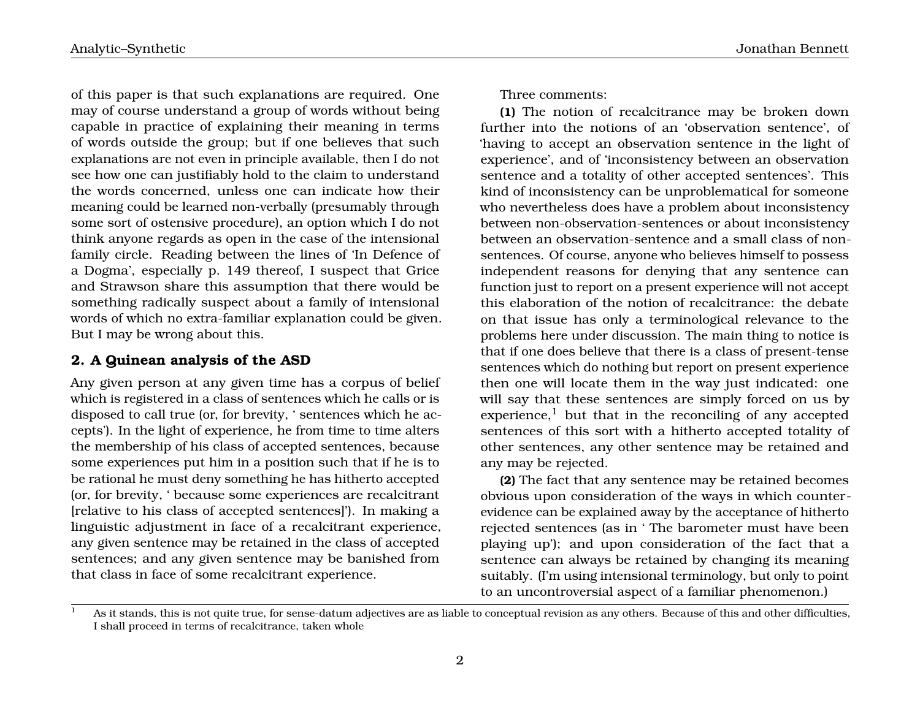of this paper is that such explanations are required. One may of course understand a group of words without being capable in practice of explaining their meaning in terms of words outside the group; but if one believes that such explanations are not even in principle available, then I do not see how one can justifiably hold to the claim to understand the words concerned, unless one can indicate how their meaning could be learned non-verbally (presumably through some sort of ostensive procedure), an option which I do not think anyone regards as open in the case of the intensional family circle. Reading between the lines of 'In Defence of a Dogma', especially p. 149 thereof, I suspect that Grice and Strawson share this assumption that there would be something radically suspect about a family of intensional words of which no extra-familiar explanation could be given. But I may be wrong about this.

## **2. A Quinean analysis of the ASD**

Any given person at any given time has a corpus of belief which is registered in a class of sentences which he calls or is disposed to call true (or, for brevity, ' sentences which he accepts'). In the light of experience, he from time to time alters the membership of his class of accepted sentences, because some experiences put him in a position such that if he is to be rational he must deny something he has hitherto accepted (or, for brevity, ' because some experiences are recalcitrant [relative to his class of accepted sentences]'). In making a linguistic adjustment in face of a recalcitrant experience, any given sentence may be retained in the class of accepted sentences; and any given sentence may be banished from that class in face of some recalcitrant experience.

Three comments:

**(1)** The notion of recalcitrance may be broken down further into the notions of an 'observation sentence', of 'having to accept an observation sentence in the light of experience', and of 'inconsistency between an observation sentence and a totality of other accepted sentences'. This kind of inconsistency can be unproblematical for someone who nevertheless does have a problem about inconsistency between non-observation-sentences or about inconsistency between an observation-sentence and a small class of nonsentences. Of course, anyone who believes himself to possess independent reasons for denying that any sentence can function just to report on a present experience will not accept this elaboration of the notion of recalcitrance: the debate on that issue has only a terminological relevance to the problems here under discussion. The main thing to notice is that if one does believe that there is a class of present-tense sentences which do nothing but report on present experience then one will locate them in the way just indicated: one will say that these sentences are simply forced on us by experience, $\frac{1}{1}$  but that in the reconciling of any accepted sentences of this sort with a hitherto accepted totality of other sentences, any other sentence may be retained and any may be rejected.

**(2)** The fact that any sentence may be retained becomes obvious upon consideration of the ways in which counterevidence can be explained away by the acceptance of hitherto rejected sentences (as in ' The barometer must have been playing up'); and upon consideration of the fact that a sentence can always be retained by changing its meaning suitably. (I'm using intensional terminology, but only to point to an uncontroversial aspect of a familiar phenomenon.)

As it stands, this is not quite true, for sense-datum adjectives are as liable to conceptual revision as any others. Because of this and other difficulties, I shall proceed in terms of recalcitrance, taken whole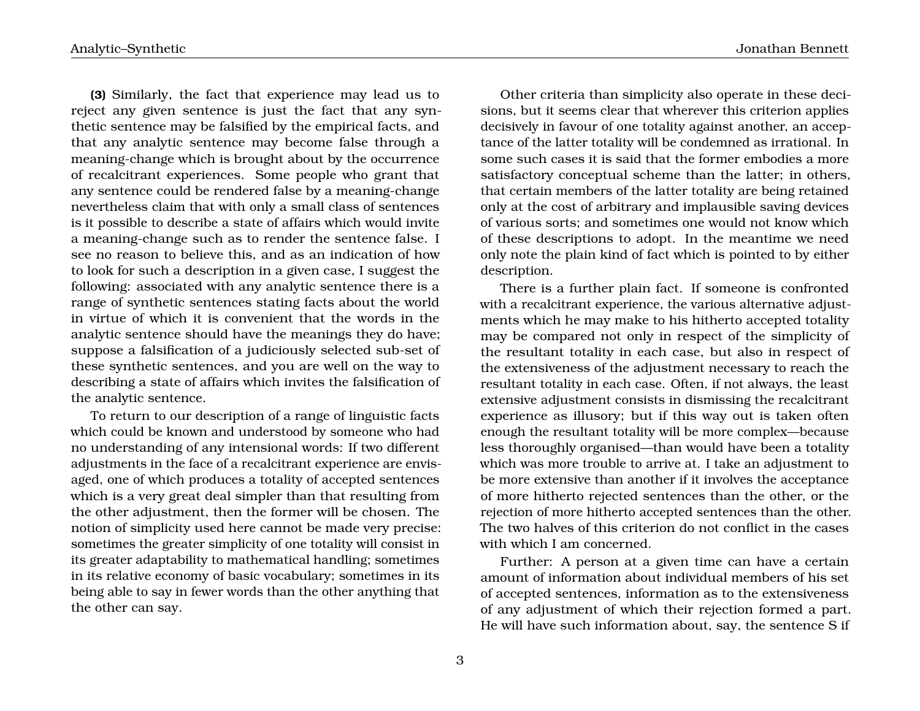**(3)** Similarly, the fact that experience may lead us to reject any given sentence is just the fact that any synthetic sentence may be falsified by the empirical facts, and that any analytic sentence may become false through a meaning-change which is brought about by the occurrence of recalcitrant experiences. Some people who grant that any sentence could be rendered false by a meaning-change nevertheless claim that with only a small class of sentences is it possible to describe a state of affairs which would invite a meaning-change such as to render the sentence false. I see no reason to believe this, and as an indication of how to look for such a description in a given case, I suggest the following: associated with any analytic sentence there is a range of synthetic sentences stating facts about the world in virtue of which it is convenient that the words in the analytic sentence should have the meanings they do have; suppose a falsification of a judiciously selected sub-set of these synthetic sentences, and you are well on the way to describing a state of affairs which invites the falsification of the analytic sentence.

To return to our description of a range of linguistic facts which could be known and understood by someone who had no understanding of any intensional words: If two different adjustments in the face of a recalcitrant experience are envisaged, one of which produces a totality of accepted sentences which is a very great deal simpler than that resulting from the other adjustment, then the former will be chosen. The notion of simplicity used here cannot be made very precise: sometimes the greater simplicity of one totality will consist in its greater adaptability to mathematical handling; sometimes in its relative economy of basic vocabulary; sometimes in its being able to say in fewer words than the other anything that the other can say.

Other criteria than simplicity also operate in these decisions, but it seems clear that wherever this criterion applies decisively in favour of one totality against another, an acceptance of the latter totality will be condemned as irrational. In some such cases it is said that the former embodies a more satisfactory conceptual scheme than the latter; in others, that certain members of the latter totality are being retained only at the cost of arbitrary and implausible saving devices of various sorts; and sometimes one would not know which of these descriptions to adopt. In the meantime we need only note the plain kind of fact which is pointed to by either description.

There is a further plain fact. If someone is confronted with a recalcitrant experience, the various alternative adjustments which he may make to his hitherto accepted totality may be compared not only in respect of the simplicity of the resultant totality in each case, but also in respect of the extensiveness of the adjustment necessary to reach the resultant totality in each case. Often, if not always, the least extensive adjustment consists in dismissing the recalcitrant experience as illusory; but if this way out is taken often enough the resultant totality will be more complex—because less thoroughly organised—than would have been a totality which was more trouble to arrive at. I take an adjustment to be more extensive than another if it involves the acceptance of more hitherto rejected sentences than the other, or the rejection of more hitherto accepted sentences than the other. The two halves of this criterion do not conflict in the cases with which I am concerned.

Further: A person at a given time can have a certain amount of information about individual members of his set of accepted sentences, information as to the extensiveness of any adjustment of which their rejection formed a part. He will have such information about, say, the sentence S if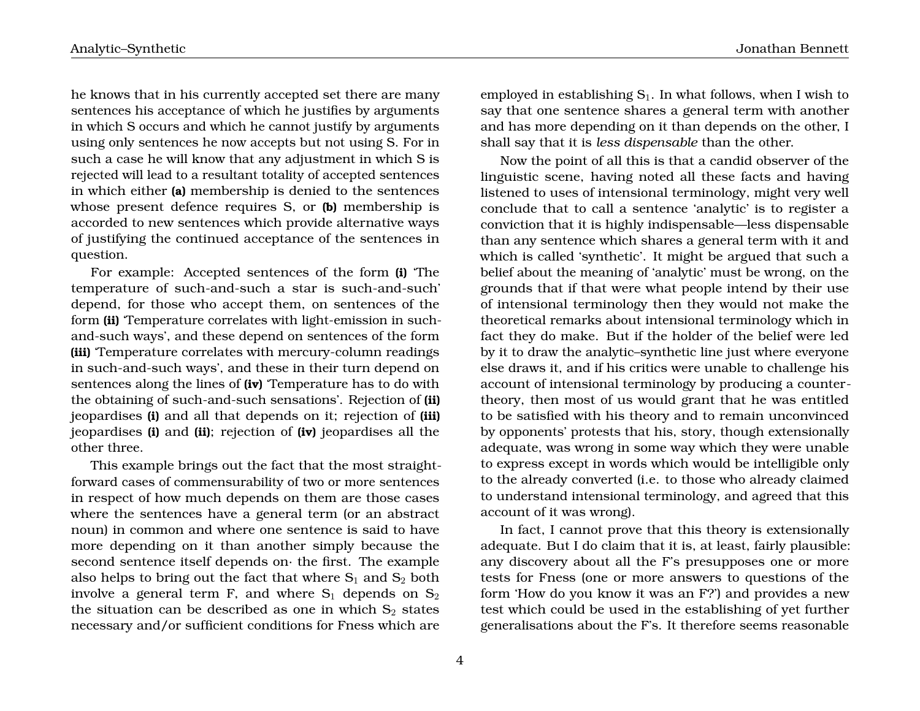he knows that in his currently accepted set there are many sentences his acceptance of which he justifies by arguments in which S occurs and which he cannot justify by arguments using only sentences he now accepts but not using S. For in such a case he will know that any adjustment in which S is rejected will lead to a resultant totality of accepted sentences in which either **(a)** membership is denied to the sentences whose present defence requires S, or **(b)** membership is accorded to new sentences which provide alternative ways of justifying the continued acceptance of the sentences in question.

For example: Accepted sentences of the form **(i)** 'The temperature of such-and-such a star is such-and-such' depend, for those who accept them, on sentences of the form **(ii)** 'Temperature correlates with light-emission in suchand-such ways', and these depend on sentences of the form **(iii)** 'Temperature correlates with mercury-column readings in such-and-such ways', and these in their turn depend on sentences along the lines of **(iv)** 'Temperature has to do with the obtaining of such-and-such sensations'. Rejection of **(ii)** jeopardises **(i)** and all that depends on it; rejection of **(iii)** jeopardises **(i)** and **(ii)**; rejection of **(iv)** jeopardises all the other three.

This example brings out the fact that the most straightforward cases of commensurability of two or more sentences in respect of how much depends on them are those cases where the sentences have a general term (or an abstract noun) in common and where one sentence is said to have more depending on it than another simply because the second sentence itself depends on· the first. The example also helps to bring out the fact that where  $S_1$  and  $S_2$  both involve a general term F, and where  $S_1$  depends on  $S_2$ the situation can be described as one in which  $S_2$  states necessary and/or sufficient conditions for Fness which are

employed in establishing  $S_1$ . In what follows, when I wish to say that one sentence shares a general term with another and has more depending on it than depends on the other, I shall say that it is *less dispensable* than the other.

Now the point of all this is that a candid observer of the linguistic scene, having noted all these facts and having listened to uses of intensional terminology, might very well conclude that to call a sentence 'analytic' is to register a conviction that it is highly indispensable—less dispensable than any sentence which shares a general term with it and which is called 'synthetic'. It might be argued that such a belief about the meaning of 'analytic' must be wrong, on the grounds that if that were what people intend by their use of intensional terminology then they would not make the theoretical remarks about intensional terminology which in fact they do make. But if the holder of the belief were led by it to draw the analytic–synthetic line just where everyone else draws it, and if his critics were unable to challenge his account of intensional terminology by producing a countertheory, then most of us would grant that he was entitled to be satisfied with his theory and to remain unconvinced by opponents' protests that his, story, though extensionally adequate, was wrong in some way which they were unable to express except in words which would be intelligible only to the already converted (i.e. to those who already claimed to understand intensional terminology, and agreed that this account of it was wrong).

In fact, I cannot prove that this theory is extensionally adequate. But I do claim that it is, at least, fairly plausible: any discovery about all the F's presupposes one or more tests for Fness (one or more answers to questions of the form 'How do you know it was an F?') and provides a new test which could be used in the establishing of yet further generalisations about the F's. It therefore seems reasonable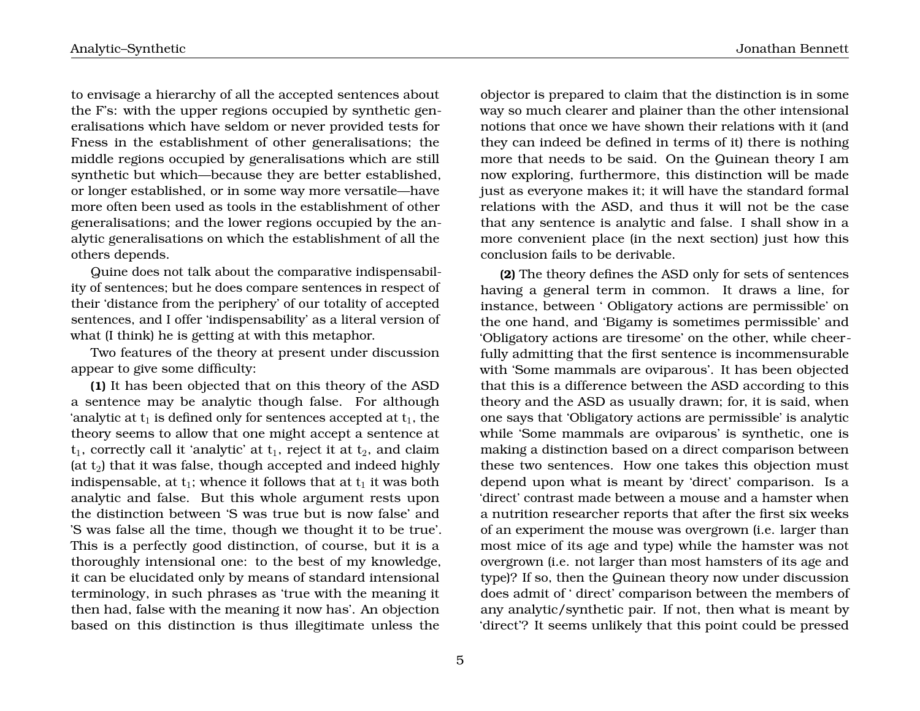to envisage a hierarchy of all the accepted sentences about the F's: with the upper regions occupied by synthetic generalisations which have seldom or never provided tests for Fness in the establishment of other generalisations; the middle regions occupied by generalisations which are still synthetic but which—because they are better established, or longer established, or in some way more versatile—have more often been used as tools in the establishment of other generalisations; and the lower regions occupied by the analytic generalisations on which the establishment of all the others depends.

Quine does not talk about the comparative indispensability of sentences; but he does compare sentences in respect of their 'distance from the periphery' of our totality of accepted sentences, and I offer 'indispensability' as a literal version of what (I think) he is getting at with this metaphor.

Two features of the theory at present under discussion appear to give some difficulty:

**(1)** It has been objected that on this theory of the ASD a sentence may be analytic though false. For although 'analytic at  $t_1$  is defined only for sentences accepted at  $t_1$ , the theory seems to allow that one might accept a sentence at  $t_1$ , correctly call it 'analytic' at  $t_1$ , reject it at  $t_2$ , and claim (at  $t_2$ ) that it was false, though accepted and indeed highly indispensable, at  $t_1$ ; whence it follows that at  $t_1$  it was both analytic and false. But this whole argument rests upon the distinction between 'S was true but is now false' and 'S was false all the time, though we thought it to be true'. This is a perfectly good distinction, of course, but it is a thoroughly intensional one: to the best of my knowledge, it can be elucidated only by means of standard intensional terminology, in such phrases as 'true with the meaning it then had, false with the meaning it now has'. An objection based on this distinction is thus illegitimate unless the

objector is prepared to claim that the distinction is in some way so much clearer and plainer than the other intensional notions that once we have shown their relations with it (and they can indeed be defined in terms of it) there is nothing more that needs to be said. On the Quinean theory I am now exploring, furthermore, this distinction will be made just as everyone makes it; it will have the standard formal relations with the ASD, and thus it will not be the case that any sentence is analytic and false. I shall show in a more convenient place (in the next section) just how this conclusion fails to be derivable.

**(2)** The theory defines the ASD only for sets of sentences having a general term in common. It draws a line, for instance, between ' Obligatory actions are permissible' on the one hand, and 'Bigamy is sometimes permissible' and 'Obligatory actions are tiresome' on the other, while cheerfully admitting that the first sentence is incommensurable with 'Some mammals are oviparous'. It has been objected that this is a difference between the ASD according to this theory and the ASD as usually drawn; for, it is said, when one says that 'Obligatory actions are permissible' is analytic while 'Some mammals are oviparous' is synthetic, one is making a distinction based on a direct comparison between these two sentences. How one takes this objection must depend upon what is meant by 'direct' comparison. Is a 'direct' contrast made between a mouse and a hamster when a nutrition researcher reports that after the first six weeks of an experiment the mouse was overgrown (i.e. larger than most mice of its age and type) while the hamster was not overgrown (i.e. not larger than most hamsters of its age and type)? If so, then the Quinean theory now under discussion does admit of ' direct' comparison between the members of any analytic/synthetic pair. If not, then what is meant by 'direct'? It seems unlikely that this point could be pressed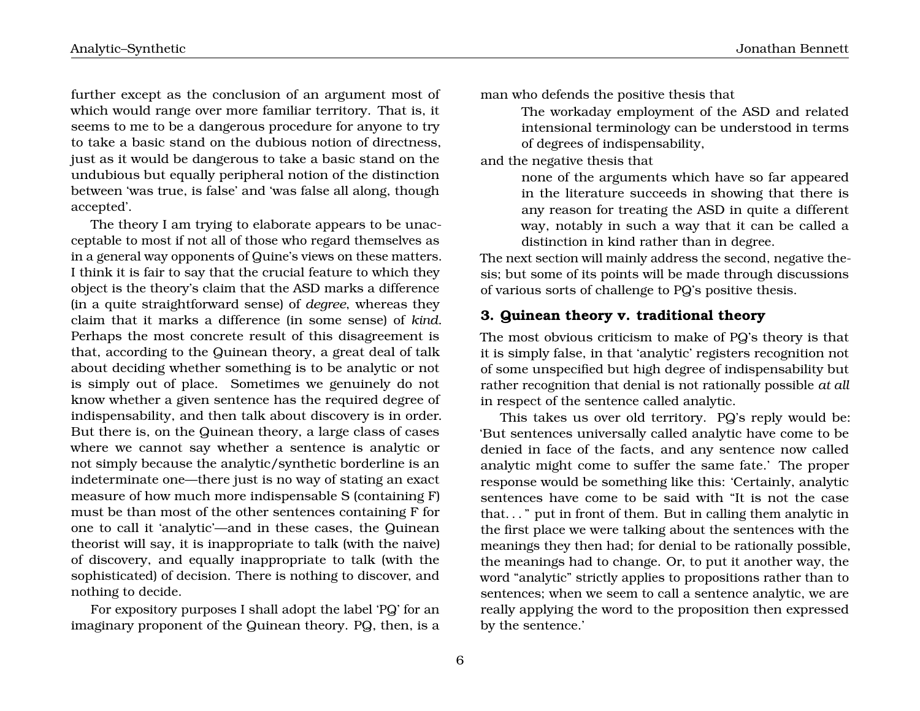further except as the conclusion of an argument most of which would range over more familiar territory. That is, it seems to me to be a dangerous procedure for anyone to try to take a basic stand on the dubious notion of directness, just as it would be dangerous to take a basic stand on the undubious but equally peripheral notion of the distinction between 'was true, is false' and 'was false all along, though accepted'.

The theory I am trying to elaborate appears to be unacceptable to most if not all of those who regard themselves as in a general way opponents of Quine's views on these matters. I think it is fair to say that the crucial feature to which they object is the theory's claim that the ASD marks a difference (in a quite straightforward sense) of *degree*, whereas they claim that it marks a difference (in some sense) of *kind*. Perhaps the most concrete result of this disagreement is that, according to the Quinean theory, a great deal of talk about deciding whether something is to be analytic or not is simply out of place. Sometimes we genuinely do not know whether a given sentence has the required degree of indispensability, and then talk about discovery is in order. But there is, on the Quinean theory, a large class of cases where we cannot say whether a sentence is analytic or not simply because the analytic/synthetic borderline is an indeterminate one—there just is no way of stating an exact measure of how much more indispensable S (containing F) must be than most of the other sentences containing F for one to call it 'analytic'—and in these cases, the Quinean theorist will say, it is inappropriate to talk (with the naive) of discovery, and equally inappropriate to talk (with the sophisticated) of decision. There is nothing to discover, and nothing to decide.

For expository purposes I shall adopt the label 'PQ' for an imaginary proponent of the Quinean theory. PQ, then, is a man who defends the positive thesis that

The workaday employment of the ASD and related intensional terminology can be understood in terms of degrees of indispensability,

and the negative thesis that

none of the arguments which have so far appeared in the literature succeeds in showing that there is any reason for treating the ASD in quite a different way, notably in such a way that it can be called a distinction in kind rather than in degree.

The next section will mainly address the second, negative thesis; but some of its points will be made through discussions of various sorts of challenge to PQ's positive thesis.

### **3. Quinean theory v. traditional theory**

The most obvious criticism to make of PQ's theory is that it is simply false, in that 'analytic' registers recognition not of some unspecified but high degree of indispensability but rather recognition that denial is not rationally possible *at all* in respect of the sentence called analytic.

This takes us over old territory. PQ's reply would be: 'But sentences universally called analytic have come to be denied in face of the facts, and any sentence now called analytic might come to suffer the same fate.' The proper response would be something like this: 'Certainly, analytic sentences have come to be said with "It is not the case that. . . " put in front of them. But in calling them analytic in the first place we were talking about the sentences with the meanings they then had; for denial to be rationally possible, the meanings had to change. Or, to put it another way, the word "analytic" strictly applies to propositions rather than to sentences; when we seem to call a sentence analytic, we are really applying the word to the proposition then expressed by the sentence.'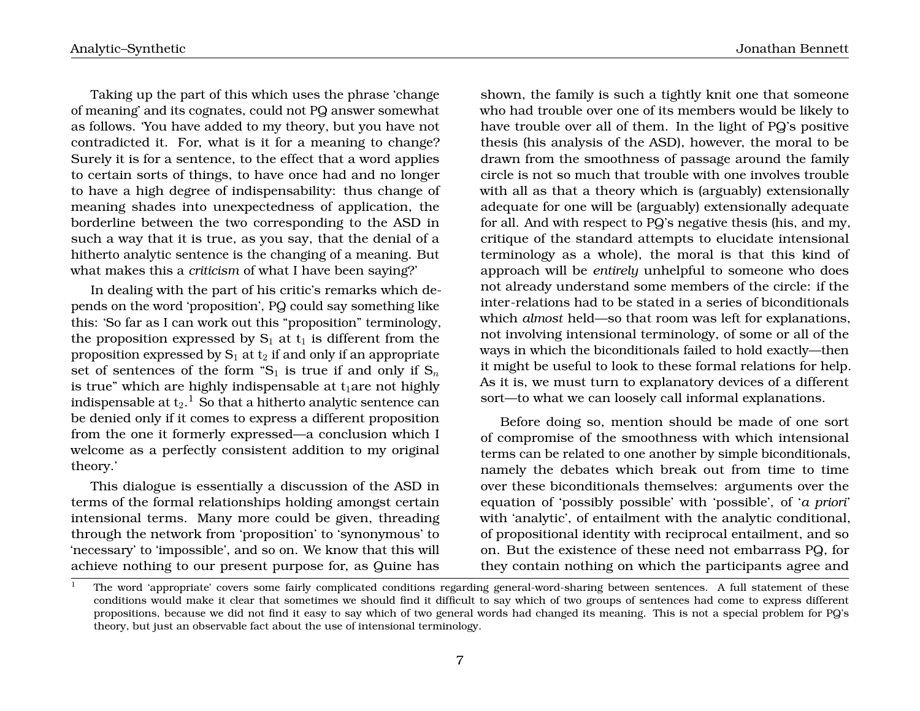Taking up the part of this which uses the phrase 'change of meaning' and its cognates, could not PQ answer somewhat as follows. 'You have added to my theory, but you have not contradicted it. For, what is it for a meaning to change? Surely it is for a sentence, to the effect that a word applies to certain sorts of things, to have once had and no longer to have a high degree of indispensability: thus change of meaning shades into unexpectedness of application, the borderline between the two corresponding to the ASD in such a way that it is true, as you say, that the denial of a hitherto analytic sentence is the changing of a meaning. But what makes this a *criticism* of what I have been saying?'

In dealing with the part of his critic's remarks which depends on the word 'proposition', PQ could say something like this: 'So far as I can work out this "proposition" terminology, the proposition expressed by  $S_1$  at  $t_1$  is different from the proposition expressed by  $S_1$  at  $t_2$  if and only if an appropriate set of sentences of the form "S<sub>1</sub> is true if and only if  $S_n$ is true" which are highly indispensable at  $t_1$ are not highly indispensable at  $\mathrm{t_{2}.{}^{1}}$  So that a hitherto analytic sentence can be denied only if it comes to express a different proposition from the one it formerly expressed—a conclusion which I welcome as a perfectly consistent addition to my original theory.'

This dialogue is essentially a discussion of the ASD in terms of the formal relationships holding amongst certain intensional terms. Many more could be given, threading through the network from 'proposition' to 'synonymous' to 'necessary' to 'impossible', and so on. We know that this will achieve nothing to our present purpose for, as Quine has

shown, the family is such a tightly knit one that someone who had trouble over one of its members would be likely to have trouble over all of them. In the light of PQ's positive thesis (his analysis of the ASD), however, the moral to be drawn from the smoothness of passage around the family circle is not so much that trouble with one involves trouble with all as that a theory which is (arguably) extensionally adequate for one will be (arguably) extensionally adequate for all. And with respect to PQ's negative thesis (his, and my, critique of the standard attempts to elucidate intensional terminology as a whole), the moral is that this kind of approach will be *entirely* unhelpful to someone who does not already understand some members of the circle: if the inter-relations had to be stated in a series of biconditionals which *almost* held—so that room was left for explanations, not involving intensional terminology, of some or all of the ways in which the biconditionals failed to hold exactly—then it might be useful to look to these formal relations for help. As it is, we must turn to explanatory devices of a different sort—to what we can loosely call informal explanations.

Before doing so, mention should be made of one sort of compromise of the smoothness with which intensional terms can be related to one another by simple biconditionals, namely the debates which break out from time to time over these biconditionals themselves: arguments over the equation of 'possibly possible' with 'possible', of '*a priori*' with 'analytic', of entailment with the analytic conditional, of propositional identity with reciprocal entailment, and so on. But the existence of these need not embarrass PQ, for they contain nothing on which the participants agree and

<sup>1</sup> The word 'appropriate' covers some fairly complicated conditions regarding general-word-sharing between sentences. A full statement of these conditions would make it clear that sometimes we should find it difficult to say which of two groups of sentences had come to express different propositions, because we did not find it easy to say which of two general words had changed its meaning. This is not a special problem for PQ's theory, but just an observable fact about the use of intensional terminology.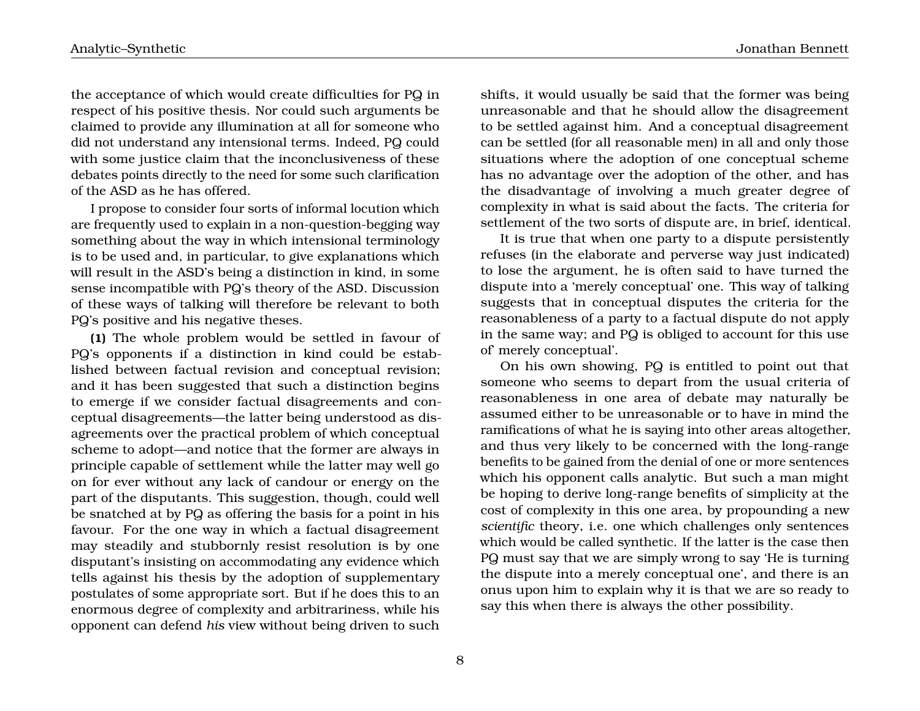the acceptance of which would create difficulties for PQ in respect of his positive thesis. Nor could such arguments be claimed to provide any illumination at all for someone who did not understand any intensional terms. Indeed, PQ could with some justice claim that the inconclusiveness of these debates points directly to the need for some such clarification of the ASD as he has offered.

I propose to consider four sorts of informal locution which are frequently used to explain in a non-question-begging way something about the way in which intensional terminology is to be used and, in particular, to give explanations which will result in the ASD's being a distinction in kind, in some sense incompatible with PQ's theory of the ASD. Discussion of these ways of talking will therefore be relevant to both PQ's positive and his negative theses.

**(1)** The whole problem would be settled in favour of PQ's opponents if a distinction in kind could be established between factual revision and conceptual revision; and it has been suggested that such a distinction begins to emerge if we consider factual disagreements and conceptual disagreements—the latter being understood as disagreements over the practical problem of which conceptual scheme to adopt—and notice that the former are always in principle capable of settlement while the latter may well go on for ever without any lack of candour or energy on the part of the disputants. This suggestion, though, could well be snatched at by PQ as offering the basis for a point in his favour. For the one way in which a factual disagreement may steadily and stubbornly resist resolution is by one disputant's insisting on accommodating any evidence which tells against his thesis by the adoption of supplementary postulates of some appropriate sort. But if he does this to an enormous degree of complexity and arbitrariness, while his opponent can defend *his* view without being driven to such

shifts, it would usually be said that the former was being unreasonable and that he should allow the disagreement to be settled against him. And a conceptual disagreement can be settled (for all reasonable men) in all and only those situations where the adoption of one conceptual scheme has no advantage over the adoption of the other, and has the disadvantage of involving a much greater degree of complexity in what is said about the facts. The criteria for settlement of the two sorts of dispute are, in brief, identical.

It is true that when one party to a dispute persistently refuses (in the elaborate and perverse way just indicated) to lose the argument, he is often said to have turned the dispute into a 'merely conceptual' one. This way of talking suggests that in conceptual disputes the criteria for the reasonableness of a party to a factual dispute do not apply in the same way; and PQ is obliged to account for this use of' merely conceptual'.

On his own showing, PQ is entitled to point out that someone who seems to depart from the usual criteria of reasonableness in one area of debate may naturally be assumed either to be unreasonable or to have in mind the ramifications of what he is saying into other areas altogether, and thus very likely to be concerned with the long-range benefits to be gained from the denial of one or more sentences which his opponent calls analytic. But such a man might be hoping to derive long-range benefits of simplicity at the cost of complexity in this one area, by propounding a new *scientific* theory, i.e. one which challenges only sentences which would be called synthetic. If the latter is the case then PQ must say that we are simply wrong to say 'He is turning the dispute into a merely conceptual one', and there is an onus upon him to explain why it is that we are so ready to say this when there is always the other possibility.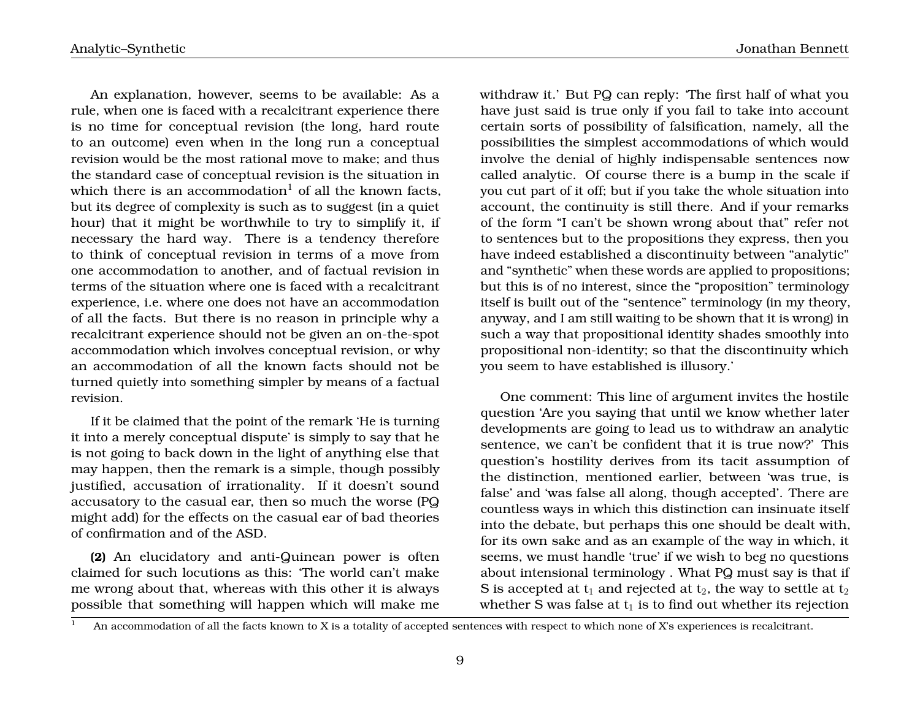An explanation, however, seems to be available: As a rule, when one is faced with a recalcitrant experience there is no time for conceptual revision (the long, hard route to an outcome) even when in the long run a conceptual revision would be the most rational move to make; and thus the standard case of conceptual revision is the situation in which there is an accommodation<sup>1</sup> of all the known facts, but its degree of complexity is such as to suggest (in a quiet hour) that it might be worthwhile to try to simplify it, if

necessary the hard way. There is a tendency therefore to think of conceptual revision in terms of a move from one accommodation to another, and of factual revision in terms of the situation where one is faced with a recalcitrant experience, i.e. where one does not have an accommodation of all the facts. But there is no reason in principle why a recalcitrant experience should not be given an on-the-spot accommodation which involves conceptual revision, or why an accommodation of all the known facts should not be turned quietly into something simpler by means of a factual revision.

If it be claimed that the point of the remark 'He is turning it into a merely conceptual dispute' is simply to say that he is not going to back down in the light of anything else that may happen, then the remark is a simple, though possibly justified, accusation of irrationality. If it doesn't sound accusatory to the casual ear, then so much the worse (PQ might add) for the effects on the casual ear of bad theories of confirmation and of the ASD.

**(2)** An elucidatory and anti-Quinean power is often claimed for such locutions as this: 'The world can't make me wrong about that, whereas with this other it is always possible that something will happen which will make me

withdraw it.' But PQ can reply: 'The first half of what you have just said is true only if you fail to take into account certain sorts of possibility of falsification, namely, all the possibilities the simplest accommodations of which would involve the denial of highly indispensable sentences now called analytic. Of course there is a bump in the scale if you cut part of it off; but if you take the whole situation into account, the continuity is still there. And if your remarks of the form "I can't be shown wrong about that" refer not to sentences but to the propositions they express, then you have indeed established a discontinuity between "analytic" and "synthetic" when these words are applied to propositions; but this is of no interest, since the "proposition" terminology itself is built out of the "sentence" terminology (in my theory, anyway, and I am still waiting to be shown that it is wrong) in such a way that propositional identity shades smoothly into propositional non-identity; so that the discontinuity which you seem to have established is illusory.'

One comment: This line of argument invites the hostile question 'Are you saying that until we know whether later developments are going to lead us to withdraw an analytic sentence, we can't be confident that it is true now?' This question's hostility derives from its tacit assumption of the distinction, mentioned earlier, between 'was true, is false' and 'was false all along, though accepted'. There are countless ways in which this distinction can insinuate itself into the debate, but perhaps this one should be dealt with, for its own sake and as an example of the way in which, it seems, we must handle 'true' if we wish to beg no questions about intensional terminology . What PQ must say is that if S is accepted at  $t_1$  and rejected at  $t_2$ , the way to settle at  $t_2$ whether S was false at  $t_1$  is to find out whether its rejection

An accommodation of all the facts known to X is a totality of accepted sentences with respect to which none of X's experiences is recalcitrant.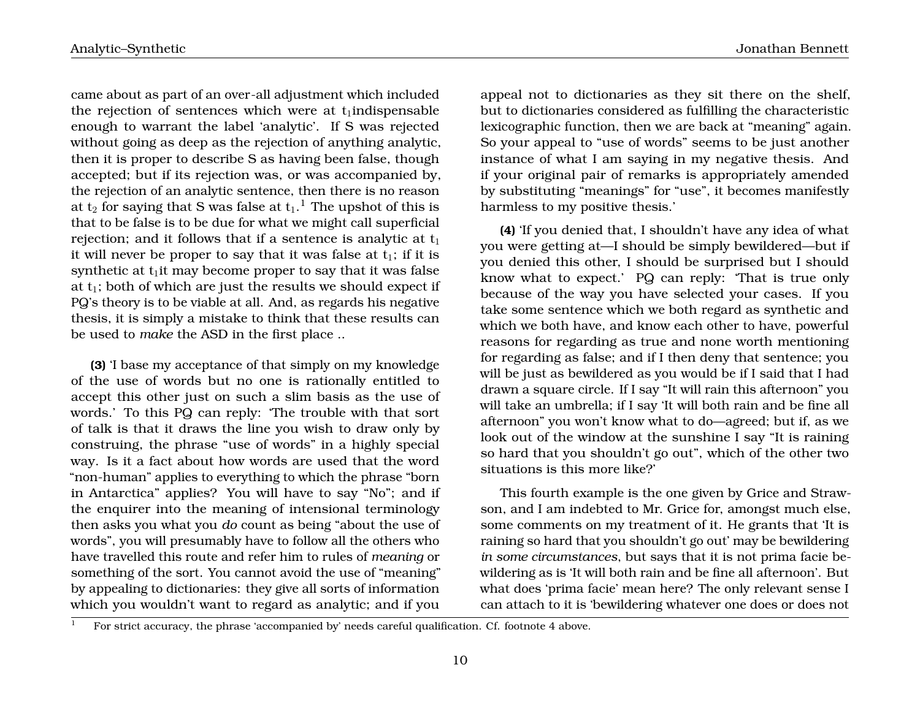came about as part of an over-all adjustment which included the rejection of sentences which were at  $t_1$ indispensable enough to warrant the label 'analytic'. If S was rejected without going as deep as the rejection of anything analytic, then it is proper to describe S as having been false, though accepted; but if its rejection was, or was accompanied by, the rejection of an analytic sentence, then there is no reason at  $\mathrm{t}_2$  for saying that S was false at  $\mathrm{t}_1.^1$  The upshot of this is that to be false is to be due for what we might call superficial rejection; and it follows that if a sentence is analytic at  $t_1$ it will never be proper to say that it was false at  $t_1$ ; if it is synthetic at  $t_1$  it may become proper to say that it was false at  $t_1$ ; both of which are just the results we should expect if PQ's theory is to be viable at all. And, as regards his negative thesis, it is simply a mistake to think that these results can be used to *make* the ASD in the first place ..

**(3)** 'I base my acceptance of that simply on my knowledge of the use of words but no one is rationally entitled to accept this other just on such a slim basis as the use of words.' To this PQ can reply: 'The trouble with that sort of talk is that it draws the line you wish to draw only by construing, the phrase "use of words" in a highly special way. Is it a fact about how words are used that the word "non-human" applies to everything to which the phrase "born in Antarctica" applies? You will have to say "No"; and if the enquirer into the meaning of intensional terminology then asks you what you *do* count as being "about the use of words", you will presumably have to follow all the others who have travelled this route and refer him to rules of *meaning* or something of the sort. You cannot avoid the use of "meaning" by appealing to dictionaries: they give all sorts of information which you wouldn't want to regard as analytic; and if you

appeal not to dictionaries as they sit there on the shelf, but to dictionaries considered as fulfilling the characteristic lexicographic function, then we are back at "meaning" again. So your appeal to "use of words" seems to be just another instance of what I am saying in my negative thesis. And if your original pair of remarks is appropriately amended by substituting "meanings" for "use", it becomes manifestly harmless to my positive thesis.'

**(4)** 'If you denied that, I shouldn't have any idea of what you were getting at—I should be simply bewildered—but if you denied this other, I should be surprised but I should know what to expect.' PQ can reply: 'That is true only because of the way you have selected your cases. If you take some sentence which we both regard as synthetic and which we both have, and know each other to have, powerful reasons for regarding as true and none worth mentioning for regarding as false; and if I then deny that sentence; you will be just as bewildered as you would be if I said that I had drawn a square circle. If I say "It will rain this afternoon" you will take an umbrella; if I say 'It will both rain and be fine all afternoon" you won't know what to do—agreed; but if, as we look out of the window at the sunshine I say "It is raining so hard that you shouldn't go out", which of the other two situations is this more like?'

This fourth example is the one given by Grice and Strawson, and I am indebted to Mr. Grice for, amongst much else, some comments on my treatment of it. He grants that 'It is raining so hard that you shouldn't go out' may be bewildering *in some circumstances*, but says that it is not prima facie bewildering as is 'It will both rain and be fine all afternoon'. But what does 'prima facie' mean here? The only relevant sense I can attach to it is 'bewildering whatever one does or does not

<sup>1</sup> For strict accuracy, the phrase 'accompanied by' needs careful qualification. Cf. footnote 4 above.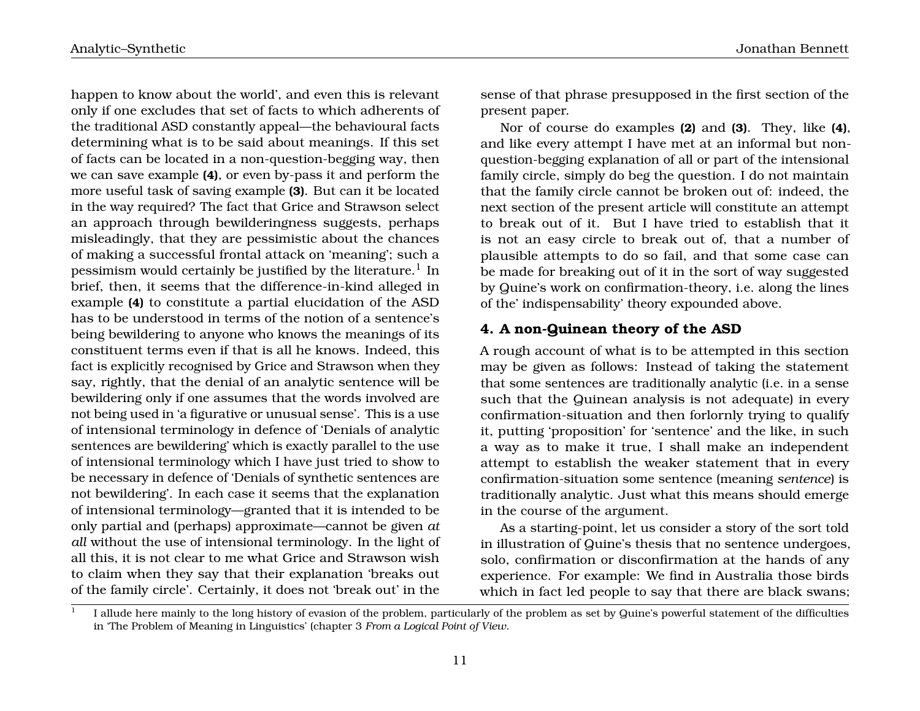happen to know about the world', and even this is relevant only if one excludes that set of facts to which adherents of the traditional ASD constantly appeal—the behavioural facts determining what is to be said about meanings. If this set of facts can be located in a non-question-begging way, then we can save example **(4)**, or even by-pass it and perform the more useful task of saving example **(3)**. But can it be located in the way required? The fact that Grice and Strawson select an approach through bewilderingness suggests, perhaps misleadingly, that they are pessimistic about the chances of making a successful frontal attack on 'meaning'; such a pessimism would certainly be justified by the literature. $^{\rm l}$  In brief, then, it seems that the difference-in-kind alleged in example **(4)** to constitute a partial elucidation of the ASD has to be understood in terms of the notion of a sentence's being bewildering to anyone who knows the meanings of its constituent terms even if that is all he knows. Indeed, this fact is explicitly recognised by Grice and Strawson when they say, rightly, that the denial of an analytic sentence will be bewildering only if one assumes that the words involved are not being used in 'a figurative or unusual sense'. This is a use of intensional terminology in defence of 'Denials of analytic sentences are bewildering' which is exactly parallel to the use of intensional terminology which I have just tried to show to be necessary in defence of 'Denials of synthetic sentences are not bewildering'. In each case it seems that the explanation of intensional terminology—granted that it is intended to be only partial and (perhaps) approximate—cannot be given *at all* without the use of intensional terminology. In the light of all this, it is not clear to me what Grice and Strawson wish to claim when they say that their explanation 'breaks out of the family circle'. Certainly, it does not 'break out' in the

sense of that phrase presupposed in the first section of the present paper.

Nor of course do examples **(2)** and **(3)**. They, like **(4)**, and like every attempt I have met at an informal but nonquestion-begging explanation of all or part of the intensional family circle, simply do beg the question. I do not maintain that the family circle cannot be broken out of: indeed, the next section of the present article will constitute an attempt to break out of it. But I have tried to establish that it is not an easy circle to break out of, that a number of plausible attempts to do so fail, and that some case can be made for breaking out of it in the sort of way suggested by Quine's work on confirmation-theory, i.e. along the lines of the' indispensability' theory expounded above.

## **4. A non-Quinean theory of the ASD**

A rough account of what is to be attempted in this section may be given as follows: Instead of taking the statement that some sentences are traditionally analytic (i.e. in a sense such that the Quinean analysis is not adequate) in every confirmation-situation and then forlornly trying to qualify it, putting 'proposition' for 'sentence' and the like, in such a way as to make it true, I shall make an independent attempt to establish the weaker statement that in every confirmation-situation some sentence (meaning *sentence*) is traditionally analytic. Just what this means should emerge in the course of the argument.

As a starting-point, let us consider a story of the sort told in illustration of Quine's thesis that no sentence undergoes, solo, confirmation or disconfirmation at the hands of any experience. For example: We find in Australia those birds which in fact led people to say that there are black swans;

<sup>1</sup> I allude here mainly to the long history of evasion of the problem, particularly of the problem as set by Quine's powerful statement of the difficulties in 'The Problem of Meaning in Linguistics' (chapter 3 *From a Logical Point of View*.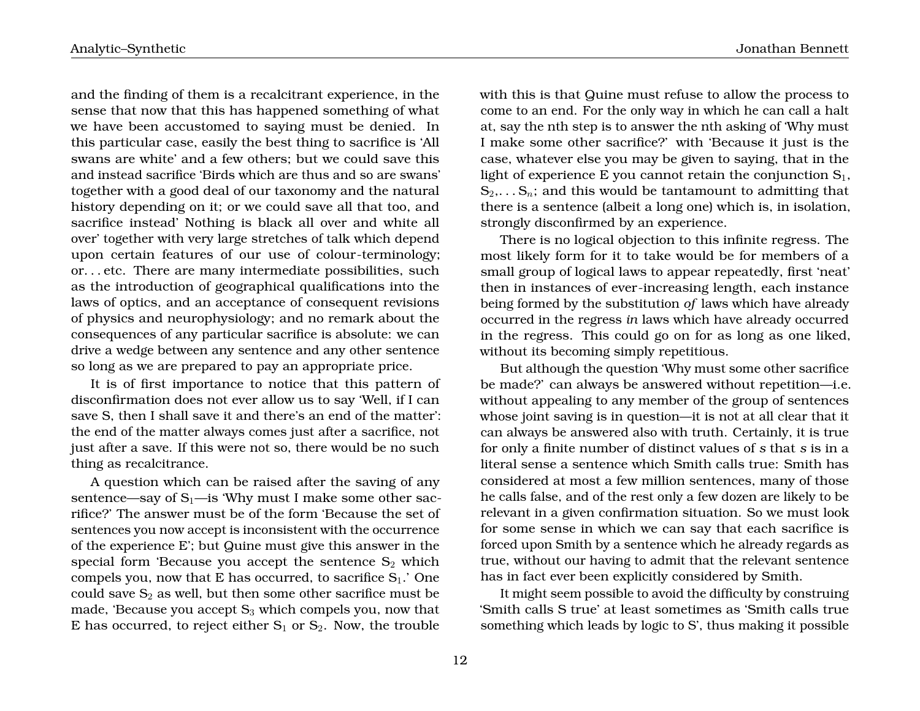and the finding of them is a recalcitrant experience, in the sense that now that this has happened something of what we have been accustomed to saying must be denied. In this particular case, easily the best thing to sacrifice is 'All swans are white' and a few others; but we could save this and instead sacrifice 'Birds which are thus and so are swans' together with a good deal of our taxonomy and the natural history depending on it; or we could save all that too, and sacrifice instead' Nothing is black all over and white all over' together with very large stretches of talk which depend upon certain features of our use of colour-terminology; or. . . etc. There are many intermediate possibilities, such as the introduction of geographical qualifications into the laws of optics, and an acceptance of consequent revisions of physics and neurophysiology; and no remark about the consequences of any particular sacrifice is absolute: we can drive a wedge between any sentence and any other sentence so long as we are prepared to pay an appropriate price.

It is of first importance to notice that this pattern of disconfirmation does not ever allow us to say 'Well, if I can save S, then I shall save it and there's an end of the matter': the end of the matter always comes just after a sacrifice, not just after a save. If this were not so, there would be no such thing as recalcitrance.

A question which can be raised after the saving of any sentence—say of  $S_1$ —is 'Why must I make some other sacrifice?' The answer must be of the form 'Because the set of sentences you now accept is inconsistent with the occurrence of the experience E'; but Quine must give this answer in the special form 'Because you accept the sentence  $S_2$  which compels you, now that E has occurred, to sacrifice  $S_1$ .' One could save  $S_2$  as well, but then some other sacrifice must be made, 'Because you accept  $S_3$  which compels you, now that E has occurred, to reject either  $S_1$  or  $S_2$ . Now, the trouble

with this is that Quine must refuse to allow the process to come to an end. For the only way in which he can call a halt at, say the nth step is to answer the nth asking of 'Why must I make some other sacrifice?' with 'Because it just is the case, whatever else you may be given to saying, that in the light of experience E you cannot retain the conjunction  $S_1$ ,  $S_2, \ldots, S_n$ ; and this would be tantamount to admitting that there is a sentence (albeit a long one) which is, in isolation, strongly disconfirmed by an experience.

There is no logical objection to this infinite regress. The most likely form for it to take would be for members of a small group of logical laws to appear repeatedly, first 'neat' then in instances of ever-increasing length, each instance being formed by the substitution *of* laws which have already occurred in the regress *in* laws which have already occurred in the regress. This could go on for as long as one liked, without its becoming simply repetitious.

But although the question 'Why must some other sacrifice be made?' can always be answered without repetition—i.e. without appealing to any member of the group of sentences whose joint saving is in question—it is not at all clear that it can always be answered also with truth. Certainly, it is true for only a finite number of distinct values of *s* that *s* is in a literal sense a sentence which Smith calls true: Smith has considered at most a few million sentences, many of those he calls false, and of the rest only a few dozen are likely to be relevant in a given confirmation situation. So we must look for some sense in which we can say that each sacrifice is forced upon Smith by a sentence which he already regards as true, without our having to admit that the relevant sentence has in fact ever been explicitly considered by Smith.

It might seem possible to avoid the difficulty by construing 'Smith calls S true' at least sometimes as 'Smith calls true something which leads by logic to S', thus making it possible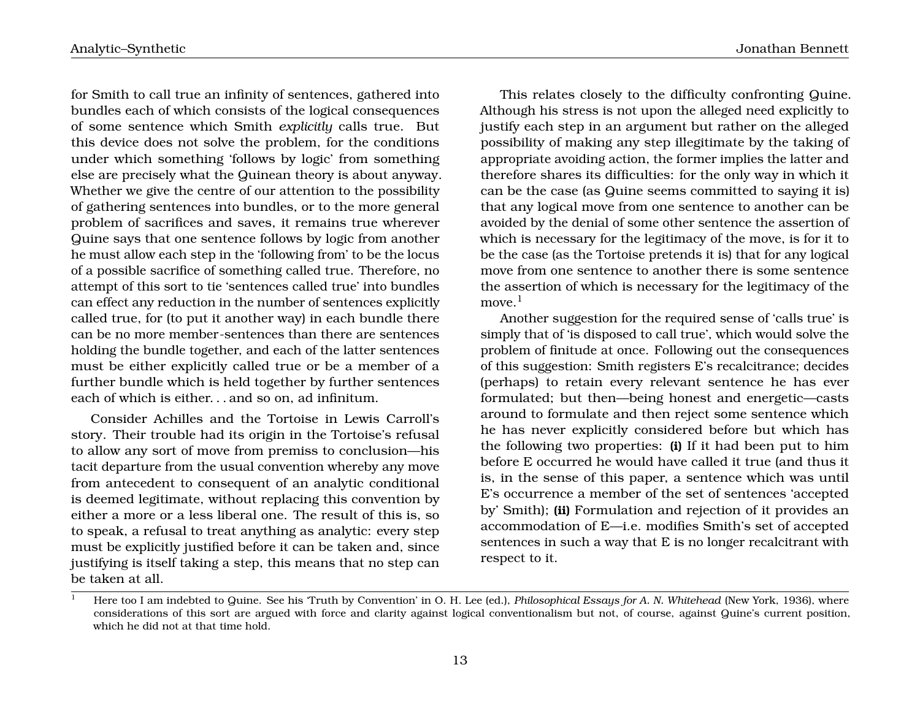for Smith to call true an infinity of sentences, gathered into bundles each of which consists of the logical consequences of some sentence which Smith *explicitly* calls true. But this device does not solve the problem, for the conditions under which something 'follows by logic' from something else are precisely what the Quinean theory is about anyway. Whether we give the centre of our attention to the possibility of gathering sentences into bundles, or to the more general problem of sacrifices and saves, it remains true wherever Quine says that one sentence follows by logic from another he must allow each step in the 'following from' to be the locus of a possible sacrifice of something called true. Therefore, no attempt of this sort to tie 'sentences called true' into bundles can effect any reduction in the number of sentences explicitly called true, for (to put it another way) in each bundle there can be no more member-sentences than there are sentences holding the bundle together, and each of the latter sentences must be either explicitly called true or be a member of a further bundle which is held together by further sentences each of which is either. . . and so on, ad infinitum.

Consider Achilles and the Tortoise in Lewis Carroll's story. Their trouble had its origin in the Tortoise's refusal to allow any sort of move from premiss to conclusion—his tacit departure from the usual convention whereby any move from antecedent to consequent of an analytic conditional is deemed legitimate, without replacing this convention by either a more or a less liberal one. The result of this is, so to speak, a refusal to treat anything as analytic: every step must be explicitly justified before it can be taken and, since justifying is itself taking a step, this means that no step can be taken at all.

This relates closely to the difficulty confronting Quine. Although his stress is not upon the alleged need explicitly to justify each step in an argument but rather on the alleged possibility of making any step illegitimate by the taking of appropriate avoiding action, the former implies the latter and therefore shares its difficulties: for the only way in which it can be the case (as Quine seems committed to saying it is) that any logical move from one sentence to another can be avoided by the denial of some other sentence the assertion of which is necessary for the legitimacy of the move, is for it to be the case (as the Tortoise pretends it is) that for any logical move from one sentence to another there is some sentence the assertion of which is necessary for the legitimacy of the move $1$ 

Another suggestion for the required sense of 'calls true' is simply that of 'is disposed to call true', which would solve the problem of finitude at once. Following out the consequences of this suggestion: Smith registers E's recalcitrance; decides (perhaps) to retain every relevant sentence he has ever formulated; but then—being honest and energetic—casts around to formulate and then reject some sentence which he has never explicitly considered before but which has the following two properties: **(i)** If it had been put to him before E occurred he would have called it true (and thus it is, in the sense of this paper, a sentence which was until E's occurrence a member of the set of sentences 'accepted by' Smith); **(ii)** Formulation and rejection of it provides an accommodation of E—i.e. modifies Smith's set of accepted sentences in such a way that E is no longer recalcitrant with respect to it.

<sup>1</sup> Here too I am indebted to Quine. See his 'Truth by Convention' in O. H. Lee (ed.), *Philosophical Essays for A. N. Whitehead* (New York, 1936), where considerations of this sort are argued with force and clarity against logical conventionalism but not, of course, against Quine's current position, which he did not at that time hold.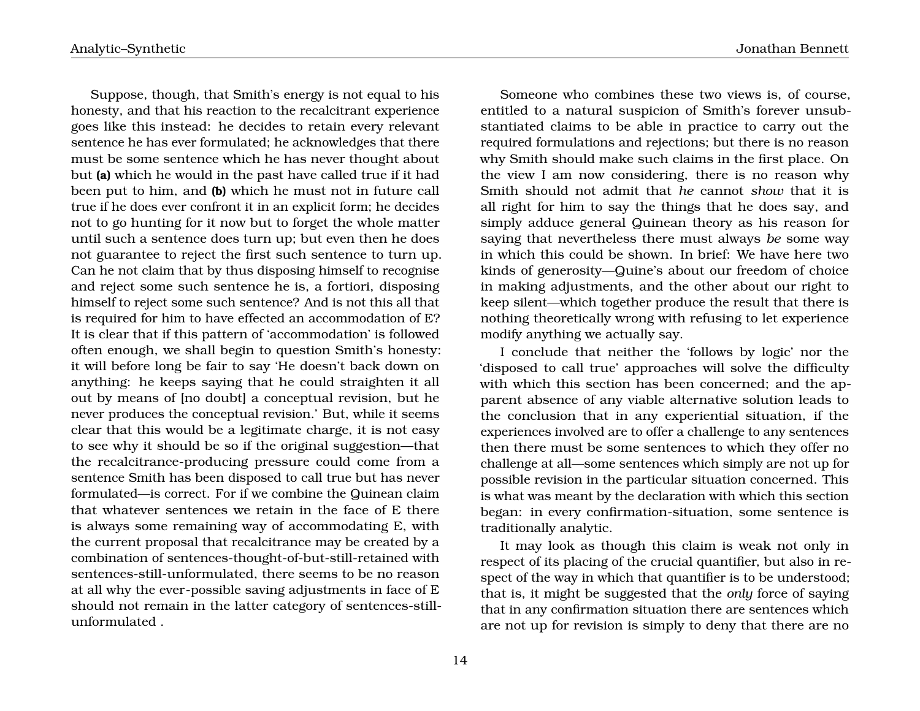Suppose, though, that Smith's energy is not equal to his honesty, and that his reaction to the recalcitrant experience goes like this instead: he decides to retain every relevant sentence he has ever formulated; he acknowledges that there must be some sentence which he has never thought about but **(a)** which he would in the past have called true if it had been put to him, and **(b)** which he must not in future call true if he does ever confront it in an explicit form; he decides not to go hunting for it now but to forget the whole matter until such a sentence does turn up; but even then he does not guarantee to reject the first such sentence to turn up. Can he not claim that by thus disposing himself to recognise and reject some such sentence he is, a fortiori, disposing himself to reject some such sentence? And is not this all that is required for him to have effected an accommodation of E? It is clear that if this pattern of 'accommodation' is followed often enough, we shall begin to question Smith's honesty: it will before long be fair to say 'He doesn't back down on anything: he keeps saying that he could straighten it all out by means of [no doubt] a conceptual revision, but he never produces the conceptual revision.' But, while it seems clear that this would be a legitimate charge, it is not easy to see why it should be so if the original suggestion—that the recalcitrance-producing pressure could come from a sentence Smith has been disposed to call true but has never formulated—is correct. For if we combine the Quinean claim that whatever sentences we retain in the face of E there is always some remaining way of accommodating E, with the current proposal that recalcitrance may be created by a combination of sentences-thought-of-but-still-retained with sentences-still-unformulated, there seems to be no reason at all why the ever-possible saving adjustments in face of E should not remain in the latter category of sentences-stillunformulated .

Someone who combines these two views is, of course, entitled to a natural suspicion of Smith's forever unsubstantiated claims to be able in practice to carry out the required formulations and rejections; but there is no reason why Smith should make such claims in the first place. On the view I am now considering, there is no reason why Smith should not admit that *he* cannot *show* that it is all right for him to say the things that he does say, and simply adduce general Quinean theory as his reason for saying that nevertheless there must always *be* some way in which this could be shown. In brief: We have here two kinds of generosity—Quine's about our freedom of choice in making adjustments, and the other about our right to keep silent—which together produce the result that there is nothing theoretically wrong with refusing to let experience modify anything we actually say.

I conclude that neither the 'follows by logic' nor the 'disposed to call true' approaches will solve the difficulty with which this section has been concerned; and the apparent absence of any viable alternative solution leads to the conclusion that in any experiential situation, if the experiences involved are to offer a challenge to any sentences then there must be some sentences to which they offer no challenge at all—some sentences which simply are not up for possible revision in the particular situation concerned. This is what was meant by the declaration with which this section began: in every confirmation-situation, some sentence is traditionally analytic.

It may look as though this claim is weak not only in respect of its placing of the crucial quantifier, but also in respect of the way in which that quantifier is to be understood; that is, it might be suggested that the *only* force of saying that in any confirmation situation there are sentences which are not up for revision is simply to deny that there are no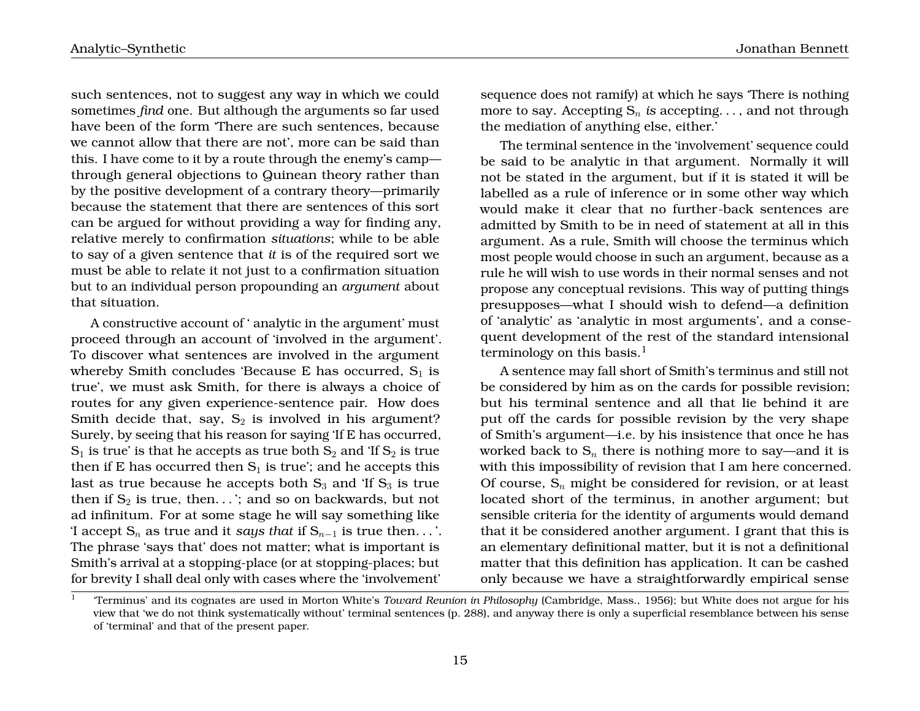such sentences, not to suggest any way in which we could sometimes *find* one. But although the arguments so far used have been of the form 'There are such sentences, because we cannot allow that there are not', more can be said than this. I have come to it by a route through the enemy's camp through general objections to Quinean theory rather than by the positive development of a contrary theory—primarily because the statement that there are sentences of this sort can be argued for without providing a way for finding any, relative merely to confirmation *situations*; while to be able to say of a given sentence that *it* is of the required sort we must be able to relate it not just to a confirmation situation but to an individual person propounding an *argument* about that situation.

A constructive account of ' analytic in the argument' must proceed through an account of 'involved in the argument'. To discover what sentences are involved in the argument whereby Smith concludes 'Because E has occurred,  $S_1$  is true', we must ask Smith, for there is always a choice of routes for any given experience-sentence pair. How does Smith decide that, say,  $S_2$  is involved in his argument? Surely, by seeing that his reason for saying 'If E has occurred,  $S_1$  is true' is that he accepts as true both  $S_2$  and 'If  $S_2$  is true then if E has occurred then  $S_1$  is true'; and he accepts this last as true because he accepts both  $S_3$  and 'If  $S_3$  is true then if  $S_2$  is true, then...'; and so on backwards, but not ad infinitum. For at some stage he will say something like 'I accept  $S_n$  as true and it *says that* if  $S_{n-1}$  is true then...'. The phrase 'says that' does not matter; what is important is Smith's arrival at a stopping-place (or at stopping-places; but for brevity I shall deal only with cases where the 'involvement'

sequence does not ramify) at which he says 'There is nothing more to say. Accepting  $S_n$  *is* accepting..., and not through the mediation of anything else, either.'

The terminal sentence in the 'involvement' sequence could be said to be analytic in that argument. Normally it will not be stated in the argument, but if it is stated it will be labelled as a rule of inference or in some other way which would make it clear that no further-back sentences are admitted by Smith to be in need of statement at all in this argument. As a rule, Smith will choose the terminus which most people would choose in such an argument, because as a rule he will wish to use words in their normal senses and not propose any conceptual revisions. This way of putting things presupposes—what I should wish to defend—a definition of 'analytic' as 'analytic in most arguments', and a consequent development of the rest of the standard intensional terminology on this basis. $<sup>1</sup>$ </sup>

A sentence may fall short of Smith's terminus and still not be considered by him as on the cards for possible revision; but his terminal sentence and all that lie behind it are put off the cards for possible revision by the very shape of Smith's argument—i.e. by his insistence that once he has worked back to  $S_n$  there is nothing more to say—and it is with this impossibility of revision that I am here concerned. Of course,  $S_n$  might be considered for revision, or at least located short of the terminus, in another argument; but sensible criteria for the identity of arguments would demand that it be considered another argument. I grant that this is an elementary definitional matter, but it is not a definitional matter that this definition has application. It can be cashed only because we have a straightforwardly empirical sense

<sup>1</sup> 'Terminus' and its cognates are used in Morton White's *Toward Reunion in Philosophy* (Cambridge, Mass., 1956); but White does not argue for his view that 'we do not think systematically without' terminal sentences (p. 288), and anyway there is only a superficial resemblance between his sense of 'terminal' and that of the present paper.